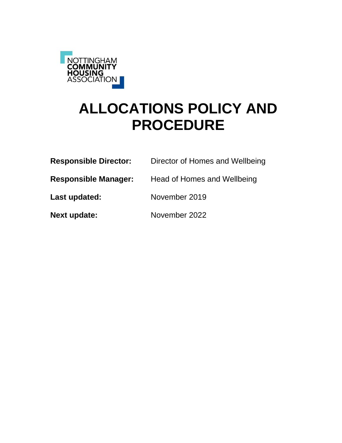

# **ALLOCATIONS POLICY AND PROCEDURE**

| <b>Responsible Director:</b> | Director of Homes and Wellbeing |
|------------------------------|---------------------------------|
| <b>Responsible Manager:</b>  | Head of Homes and Wellbeing     |
| Last updated:                | November 2019                   |
| <b>Next update:</b>          | November 2022                   |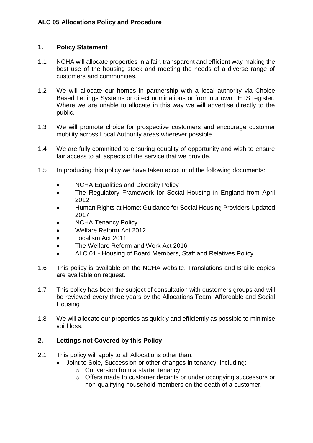#### **1. Policy Statement**

- 1.1 NCHA will allocate properties in a fair, transparent and efficient way making the best use of the housing stock and meeting the needs of a diverse range of customers and communities.
- 1.2 We will allocate our homes in partnership with a local authority via Choice Based Lettings Systems or direct nominations or from our own LETS register. Where we are unable to allocate in this way we will advertise directly to the public.
- 1.3 We will promote choice for prospective customers and encourage customer mobility across Local Authority areas wherever possible.
- 1.4 We are fully committed to ensuring equality of opportunity and wish to ensure fair access to all aspects of the service that we provide.
- 1.5 In producing this policy we have taken account of the following documents:
	- NCHA Equalities and Diversity Policy
	- The Regulatory Framework for Social Housing in England from April 2012
	- Human Rights at Home: Guidance for Social Housing Providers Updated 2017
	- NCHA Tenancy Policy
	- Welfare Reform Act 2012
	- Localism Act 2011
	- The Welfare Reform and Work Act 2016
	- ALC 01 [Housing of Board Members, Staff and Relatives Policy](https://intranet.ncha.org.uk/Interact/Pages/Content/Document.aspx?id=3889)
- 1.6 This policy is available on the NCHA website. Translations and Braille copies are available on request.
- 1.7 This policy has been the subject of consultation with customers groups and will be reviewed every three years by the Allocations Team, Affordable and Social **Housing**
- 1.8 We will allocate our properties as quickly and efficiently as possible to minimise void loss.

# **2. Lettings not Covered by this Policy**

- 2.1 This policy will apply to all Allocations other than:
	- Joint to Sole, Succession or other changes in tenancy, including:
		- o Conversion from a starter tenancy;
		- o Offers made to customer decants or under occupying successors or non-qualifying household members on the death of a customer.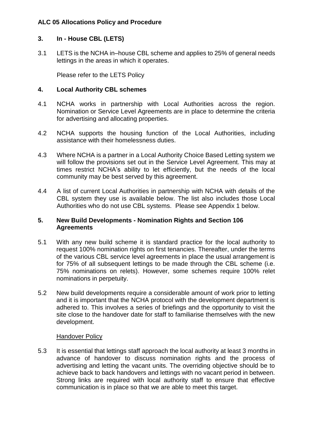#### **3. In - House CBL (LETS)**

3.1 LETS is the NCHA in–house CBL scheme and applies to 25% of general needs lettings in the areas in which it operates.

Please refer to the LETS Policy

# **4. Local Authority CBL schemes**

- 4.1 NCHA works in partnership with Local Authorities across the region. Nomination or Service Level Agreements are in place to determine the criteria for advertising and allocating properties.
- 4.2 NCHA supports the housing function of the Local Authorities, including assistance with their homelessness duties.
- 4.3 Where NCHA is a partner in a Local Authority Choice Based Letting system we will follow the provisions set out in the Service Level Agreement. This may at times restrict NCHA's ability to let efficiently, but the needs of the local community may be best served by this agreement.
- 4.4 A list of current Local Authorities in partnership with NCHA with details of the CBL system they use is available below. The list also includes those Local Authorities who do not use CBL systems. Please see Appendix 1 below.

#### **5. New Build Developments - Nomination Rights and Section 106 Agreements**

- 5.1 With any new build scheme it is standard practice for the local authority to request 100% nomination rights on first tenancies. Thereafter, under the terms of the various CBL service level agreements in place the usual arrangement is for 75% of all subsequent lettings to be made through the CBL scheme (i.e. 75% nominations on relets). However, some schemes require 100% relet nominations in perpetuity.
- 5.2 New build developments require a considerable amount of work prior to letting and it is important that the NCHA protocol with the development department is adhered to. This involves a series of briefings and the opportunity to visit the site close to the handover date for staff to familiarise themselves with the new development.

#### Handover Policy

5.3 It is essential that lettings staff approach the local authority at least 3 months in advance of handover to discuss nomination rights and the process of advertising and letting the vacant units. The overriding objective should be to achieve back to back handovers and lettings with no vacant period in between. Strong links are required with local authority staff to ensure that effective communication is in place so that we are able to meet this target.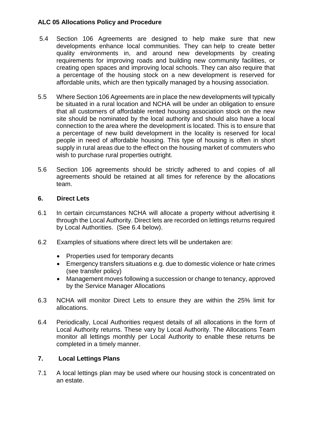- 5.4 Section 106 Agreements are designed to help make sure that new developments enhance local communities. They can help to create better quality environments in, and around new developments by creating requirements for improving roads and building new community facilities, or creating open spaces and improving local schools. They can also require that a percentage of the housing stock on a new development is reserved for affordable units, which are then typically managed by a housing association.
- 5.5 Where Section 106 Agreements are in place the new developments will typically be situated in a rural location and NCHA will be under an obligation to ensure that all customers of affordable rented housing association stock on the new site should be nominated by the local authority and should also have a local connection to the area where the development is located. This is to ensure that a percentage of new build development in the locality is reserved for local people in need of affordable housing. This type of housing is often in short supply in rural areas due to the effect on the housing market of commuters who wish to purchase rural properties outright.
- 5.6 Section 106 agreements should be strictly adhered to and copies of all agreements should be retained at all times for reference by the allocations team.

# **6. Direct Lets**

- 6.1 In certain circumstances NCHA will allocate a property without advertising it through the Local Authority. Direct lets are recorded on lettings returns required by Local Authorities. (See 6.4 below).
- 6.2 Examples of situations where direct lets will be undertaken are:
	- Properties used for temporary decants
	- Emergency transfers situations e.g. due to domestic violence or hate crimes (see transfer policy)
	- Management moves following a succession or change to tenancy, approved by the Service Manager Allocations
- 6.3 NCHA will monitor Direct Lets to ensure they are within the 25% limit for allocations.
- 6.4 Periodically, Local Authorities request details of all allocations in the form of Local Authority returns. These vary by Local Authority. The Allocations Team monitor all lettings monthly per Local Authority to enable these returns be completed in a timely manner.

# **7. Local Lettings Plans**

7.1 A local lettings plan may be used where our housing stock is concentrated on an estate.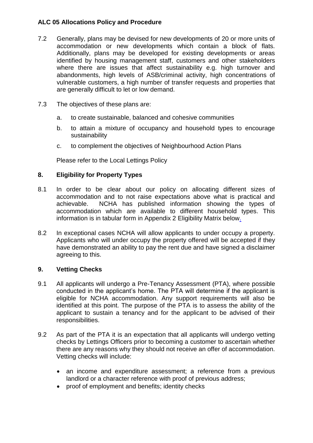- 7.2 Generally, plans may be devised for new developments of 20 or more units of accommodation or new developments which contain a block of flats. Additionally, plans may be developed for existing developments or areas identified by housing management staff, customers and other stakeholders where there are issues that affect sustainability e.g. high turnover and abandonments, high levels of ASB/criminal activity, high concentrations of vulnerable customers, a high number of transfer requests and properties that are generally difficult to let or low demand.
- 7.3 The objectives of these plans are:
	- a. to create sustainable, balanced and cohesive communities
	- b. to attain a mixture of occupancy and household types to encourage sustainability
	- c. to complement the objectives of Neighbourhood Action Plans

Please refer to the Local Lettings Policy

# **8. Eligibility for Property Types**

- 8.1 In order to be clear about our policy on allocating different sizes of accommodation and to not raise expectations above what is practical and achievable. NCHA has published information showing the types of accommodation which are available to different household types. This information is in tabular form in Appendix 2 Eligibility Matrix below.
- 8.2 In exceptional cases NCHA will allow applicants to under occupy a property. Applicants who will under occupy the property offered will be accepted if they have demonstrated an ability to pay the rent due and have signed a disclaimer agreeing to this.

#### **9. Vetting Checks**

- 9.1 All applicants will undergo a Pre-Tenancy Assessment (PTA), where possible conducted in the applicant's home. The PTA will determine if the applicant is eligible for NCHA accommodation. Any support requirements will also be identified at this point. The purpose of the PTA is to assess the ability of the applicant to sustain a tenancy and for the applicant to be advised of their responsibilities.
- 9.2 As part of the PTA it is an expectation that all applicants will undergo vetting checks by Lettings Officers prior to becoming a customer to ascertain whether there are any reasons why they should not receive an offer of accommodation. Vetting checks will include:
	- an income and expenditure assessment; a reference from a previous landlord or a character reference with proof of previous address;
	- proof of employment and benefits; identity checks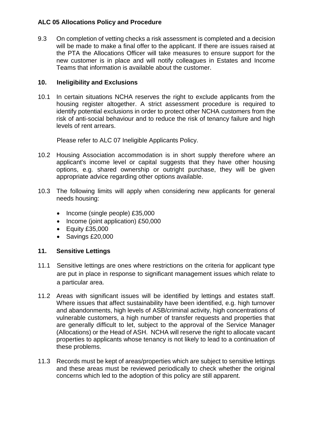9.3 On completion of vetting checks a risk assessment is completed and a decision will be made to make a final offer to the applicant. If there are issues raised at the PTA the Allocations Officer will take measures to ensure support for the new customer is in place and will notify colleagues in Estates and Income Teams that information is available about the customer.

#### **10. Ineligibility and Exclusions**

10.1 In certain situations NCHA reserves the right to exclude applicants from the housing register altogether. A strict assessment procedure is required to identify potential exclusions in order to protect other NCHA customers from the risk of anti-social behaviour and to reduce the risk of tenancy failure and high levels of rent arrears.

Please refer to ALC 07 Ineligible Applicants Policy.

- 10.2 Housing Association accommodation is in short supply therefore where an applicant's income level or capital suggests that they have other housing options, e.g. shared ownership or outright purchase, they will be given appropriate advice regarding other options available.
- 10.3 The following limits will apply when considering new applicants for general needs housing:
	- $\bullet$  Income (single people) £35,000
	- Income (joint application) £50,000
	- Equity £35,000
	- $\bullet$  Savings £20,000

#### **11. Sensitive Lettings**

- 11.1 Sensitive lettings are ones where restrictions on the criteria for applicant type are put in place in response to significant management issues which relate to a particular area.
- 11.2 Areas with significant issues will be identified by lettings and estates staff. Where issues that affect sustainability have been identified, e.g. high turnover and abandonments, high levels of ASB/criminal activity, high concentrations of vulnerable customers, a high number of transfer requests and properties that are generally difficult to let, subject to the approval of the Service Manager (Allocations) or the Head of ASH. NCHA will reserve the right to allocate vacant properties to applicants whose tenancy is not likely to lead to a continuation of these problems.
- 11.3 Records must be kept of areas/properties which are subject to sensitive lettings and these areas must be reviewed periodically to check whether the original concerns which led to the adoption of this policy are still apparent.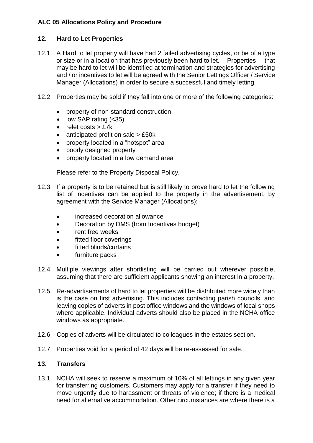# **12. Hard to Let Properties**

- 12.1 A Hard to let property will have had 2 failed advertising cycles, or be of a type or size or in a location that has previously been hard to let. Properties that may be hard to let will be identified at termination and strategies for advertising and / or incentives to let will be agreed with the Senior Lettings Officer / Service Manager (Allocations) in order to secure a successful and timely letting.
- 12.2 Properties may be sold if they fall into one or more of the following categories:
	- property of non-standard construction
	- $\bullet$  low SAP rating  $( $35$ )$
	- $\bullet$  relet costs  $>$  £7 $k$
	- $\bullet$  anticipated profit on sale  $> \text{\pounds}50k$
	- property located in a "hotspot" area
	- poorly designed property
	- property located in a low demand area

Please refer to the Property Disposal Policy.

- 12.3 If a property is to be retained but is still likely to prove hard to let the following list of incentives can be applied to the property in the advertisement, by agreement with the Service Manager (Allocations):
	- increased decoration allowance
	- Decoration by DMS (from Incentives budget)
	- rent free weeks
	- fitted floor coverings
	- fitted blinds/curtains
	- furniture packs
- 12.4 Multiple viewings after shortlisting will be carried out wherever possible, assuming that there are sufficient applicants showing an interest in a property.
- 12.5 Re-advertisements of hard to let properties will be distributed more widely than is the case on first advertising. This includes contacting parish councils, and leaving copies of adverts in post office windows and the windows of local shops where applicable. Individual adverts should also be placed in the NCHA office windows as appropriate.
- 12.6 Copies of adverts will be circulated to colleagues in the estates section.
- 12.7 Properties void for a period of 42 days will be re-assessed for sale.

#### **13. Transfers**

13.1 NCHA will seek to reserve a maximum of 10% of all lettings in any given year for transferring customers. Customers may apply for a transfer if they need to move urgently due to harassment or threats of violence; if there is a medical need for alternative accommodation. Other circumstances are where there is a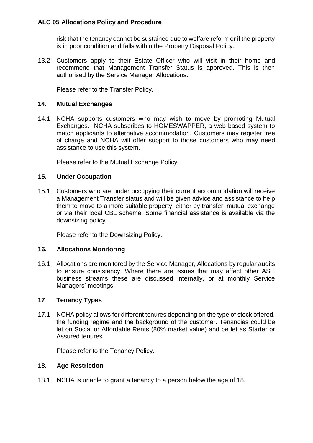risk that the tenancy cannot be sustained due to welfare reform or if the property is in poor condition and falls within the Property Disposal Policy.

13.2 Customers apply to their Estate Officer who will visit in their home and recommend that Management Transfer Status is approved. This is then authorised by the Service Manager Allocations.

Please refer to the Transfer Policy.

#### **14. Mutual Exchanges**

14.1 NCHA supports customers who may wish to move by promoting Mutual Exchanges. NCHA subscribes to HOMESWAPPER, a web based system to match applicants to alternative accommodation. Customers may register free of charge and NCHA will offer support to those customers who may need assistance to use this system.

Please refer to the Mutual Exchange Policy.

#### **15. Under Occupation**

15.1 Customers who are under occupying their current accommodation will receive a Management Transfer status and will be given advice and assistance to help them to move to a more suitable property, either by transfer, mutual exchange or via their local CBL scheme. Some financial assistance is available via the [downsizing policy.](https://intranet.ncha.org.uk/Interact/Pages/Content/Document.aspx?id=4478)

[Please refer to the Downsizing Policy.](https://intranet.ncha.org.uk/Interact/Pages/Content/Document.aspx?id=4478)

#### **16. Allocations Monitoring**

16.1 Allocations are monitored by the Service Manager, Allocations by regular audits to ensure consistency. Where there are issues that may affect other ASH business streams these are discussed internally, or at monthly Service Managers' meetings.

#### **17 Tenancy Types**

17.1 NCHA policy allows for different tenures depending on the type of stock offered, the funding regime and the background of the customer. Tenancies could be let on Social or Affordable Rents (80% market value) and be let as Starter or Assured tenures.

Please refer to the Tenancy Policy.

#### **18. Age Restriction**

18.1 NCHA is unable to grant a tenancy to a person below the age of 18.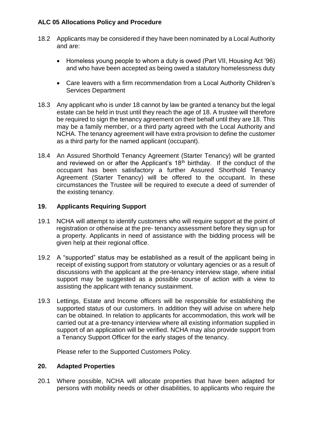- 18.2 Applicants may be considered if they have been nominated by a Local Authority and are:
	- Homeless young people to whom a duty is owed (Part VII, Housing Act '96) and who have been accepted as being owed a statutory homelessness duty
	- Care leavers with a firm recommendation from a Local Authority Children's Services Department
- 18.3 Any applicant who is under 18 cannot by law be granted a tenancy but the legal estate can be held in trust until they reach the age of 18. A trustee will therefore be required to sign the tenancy agreement on their behalf until they are 18. This may be a family member, or a third party agreed with the Local Authority and NCHA. The tenancy agreement will have extra provision to define the customer as a third party for the named applicant (occupant).
- 18.4 An Assured Shorthold Tenancy Agreement (Starter Tenancy) will be granted and reviewed on or after the Applicant's  $18<sup>th</sup>$  birthday. If the conduct of the occupant has been satisfactory a further Assured Shorthold Tenancy Agreement (Starter Tenancy) will be offered to the occupant. In these circumstances the Trustee will be required to execute a deed of surrender of the existing tenancy.

# **19. Applicants Requiring Support**

- 19.1 NCHA will attempt to identify customers who will require support at the point of registration or otherwise at the pre- tenancy assessment before they sign up for a property. Applicants in need of assistance with the bidding process will be given help at their regional office.
- 19.2 A "supported" status may be established as a result of the applicant being in receipt of existing support from statutory or voluntary agencies or as a result of discussions with the applicant at the pre-tenancy interview stage, where initial support may be suggested as a possible course of action with a view to assisting the applicant with tenancy sustainment.
- 19.3 Lettings, Estate and Income officers will be responsible for establishing the supported status of our customers. In addition they will advise on where help can be obtained. In relation to applicants for accommodation, this work will be carried out at a pre-tenancy interview where all existing information supplied in support of an application will be verified. NCHA may also provide support from a Tenancy Support Officer for the early stages of the tenancy.

Please refer to the Supported Customers Policy.

#### **20. Adapted Properties**

20.1 Where possible, NCHA will allocate properties that have been adapted for persons with mobility needs or other disabilities, to applicants who require the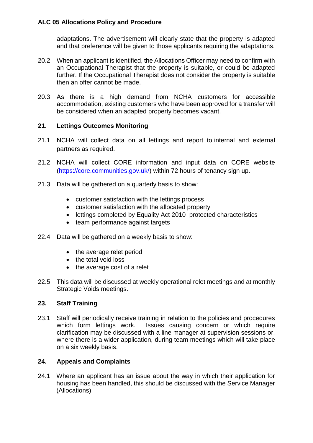adaptations. The advertisement will clearly state that the property is adapted and that preference will be given to those applicants requiring the adaptations.

- 20.2 When an applicant is identified, the Allocations Officer may need to confirm with an Occupational Therapist that the property is suitable, or could be adapted further. If the Occupational Therapist does not consider the property is suitable then an offer cannot be made.
- 20.3 As there is a high demand from NCHA customers for accessible accommodation, existing customers who have been approved for a transfer will be considered when an adapted property becomes vacant.

#### **21. Lettings Outcomes Monitoring**

- 21.1 NCHA will collect data on all lettings and report to internal and external partners as required.
- 21.2 NCHA will collect CORE information and input data on CORE website [\(https://core.communities.gov.uk/\)](https://core.communities.gov.uk/) within 72 hours of tenancy sign up.
- 21.3 Data will be gathered on a quarterly basis to show:
	- customer satisfaction with the lettings process
	- customer satisfaction with the allocated property
	- lettings completed by Equality Act 2010 protected characteristics
	- team performance against targets
- 22.4 Data will be gathered on a weekly basis to show:
	- the average relet period
	- the total void loss
	- the average cost of a relet
- 22.5 This data will be discussed at weekly operational relet meetings and at monthly Strategic Voids meetings.

#### **23. Staff Training**

23.1 Staff will periodically receive training in relation to the policies and procedures which form lettings work. Issues causing concern or which require clarification may be discussed with a line manager at supervision sessions or, where there is a wider application, during team meetings which will take place on a six weekly basis.

#### **24. Appeals and Complaints**

24.1 Where an applicant has an issue about the way in which their application for housing has been handled, this should be discussed with the Service Manager (Allocations)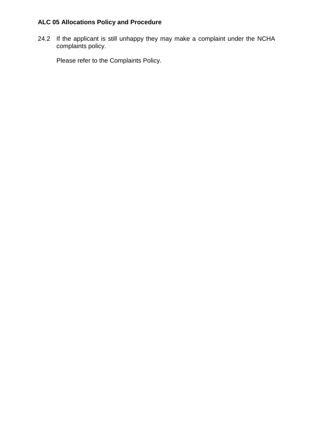24.2 If the applicant is still unhappy they may make a complaint under the NCHA complaints policy.

Please refer to the Complaints Policy.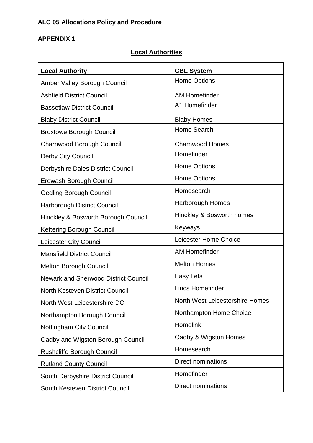# **APPENDIX 1**

# **Local Authorities**

| <b>Local Authority</b>                      | <b>CBL System</b>                      |
|---------------------------------------------|----------------------------------------|
| <b>Amber Valley Borough Council</b>         | <b>Home Options</b>                    |
| <b>Ashfield District Council</b>            | <b>AM Homefinder</b>                   |
| <b>Bassetlaw District Council</b>           | A1 Homefinder                          |
| <b>Blaby District Council</b>               | <b>Blaby Homes</b>                     |
| <b>Broxtowe Borough Council</b>             | <b>Home Search</b>                     |
| Charnwood Borough Council                   | <b>Charnwood Homes</b>                 |
| Derby City Council                          | Homefinder                             |
| Derbyshire Dales District Council           | <b>Home Options</b>                    |
| Erewash Borough Council                     | <b>Home Options</b>                    |
| <b>Gedling Borough Council</b>              | Homesearch                             |
| <b>Harborough District Council</b>          | <b>Harborough Homes</b>                |
| Hinckley & Bosworth Borough Council         | Hinckley & Bosworth homes              |
| <b>Kettering Borough Council</b>            | Keyways                                |
| Leicester City Council                      | Leicester Home Choice                  |
| <b>Mansfield District Council</b>           | <b>AM Homefinder</b>                   |
| <b>Melton Borough Council</b>               | <b>Melton Homes</b>                    |
| <b>Newark and Sherwood District Council</b> | Easy Lets                              |
| North Kesteven District Council             | <b>Lincs Homefinder</b>                |
| North West Leicestershire DC                | <b>North West Leicestershire Homes</b> |
| Northampton Borough Council                 | Northampton Home Choice                |
| Nottingham City Council                     | <b>Homelink</b>                        |
| Oadby and Wigston Borough Council           | Oadby & Wigston Homes                  |
| <b>Rushcliffe Borough Council</b>           | Homesearch                             |
| <b>Rutland County Council</b>               | <b>Direct nominations</b>              |
| South Derbyshire District Council           | Homefinder                             |
| South Kesteven District Council             | <b>Direct nominations</b>              |